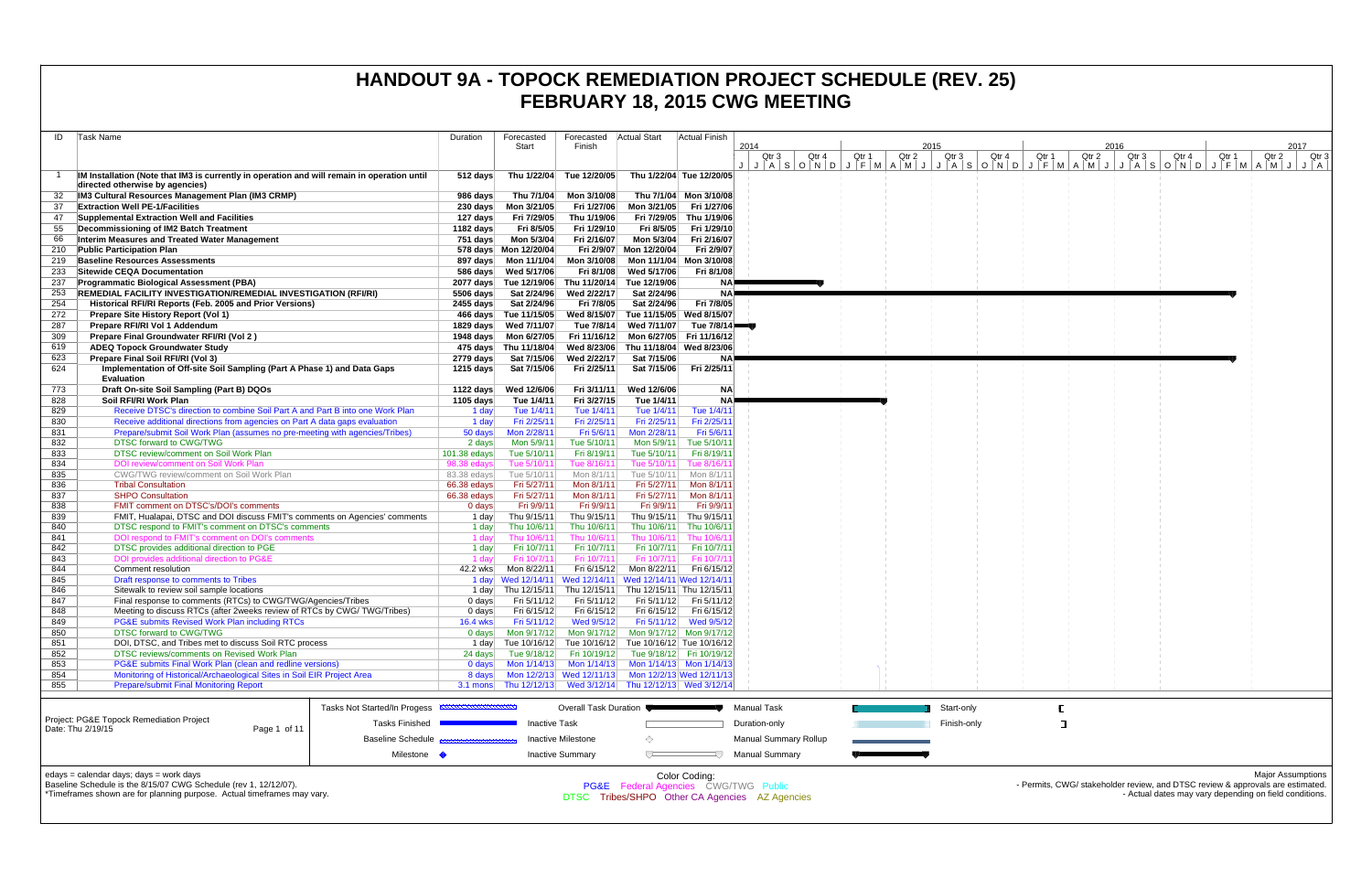| Task Name<br>ID                                                                                                                                        | Duration                    | Forecasted                           | Forecasted                                                                                                      | Actual Start                          | Actual Finish                        |                                                 |                |                |                |                |                                                                                                                                |
|--------------------------------------------------------------------------------------------------------------------------------------------------------|-----------------------------|--------------------------------------|-----------------------------------------------------------------------------------------------------------------|---------------------------------------|--------------------------------------|-------------------------------------------------|----------------|----------------|----------------|----------------|--------------------------------------------------------------------------------------------------------------------------------|
|                                                                                                                                                        |                             | Start                                | Finish                                                                                                          |                                       |                                      | 2014                                            |                | 2015           |                | 2016           | 2017                                                                                                                           |
|                                                                                                                                                        |                             |                                      |                                                                                                                 |                                       |                                      | Qtr 4<br>Qtr 3                                  | Qtr 2<br>Qtr 1 | Qtr 3<br>Qtr 4 | Qtr 1<br>Qtr 2 | Qtr 4<br>Qtr 3 | Qtr 1<br>Qtr 2<br>Qtr 3<br>J J A S O N D J F M A M J J A S O N D J F M A M J J A S O N D J F M A M J J J A J J F M A M J J J A |
| IM Installation (Note that IM3 is currently in operation and will remain in operation until                                                            | 512 days                    |                                      | Thu 1/22/04 Tue 12/20/05                                                                                        | Thu 1/22/04 Tue 12/20/05              |                                      |                                                 |                |                |                |                |                                                                                                                                |
| directed otherwise by agencies)                                                                                                                        |                             |                                      |                                                                                                                 |                                       |                                      |                                                 |                |                |                |                |                                                                                                                                |
| IM3 Cultural Resources Management Plan (IM3 CRMP)                                                                                                      | 986 days                    | Thu 7/1/04                           | Mon 3/10/08                                                                                                     |                                       | Thu 7/1/04 Mon 3/10/08               |                                                 |                |                |                |                |                                                                                                                                |
| 37<br><b>Extraction Well PE-1/Facilities</b>                                                                                                           |                             |                                      | Fri 1/27/06                                                                                                     | Mon 3/21/05                           | Fri 1/27/06                          |                                                 |                |                |                |                |                                                                                                                                |
| Supplemental Extraction Well and Facilities<br>47<br>Decommissioning of IM2 Batch Treatment<br>55                                                      | 127 days<br>1182 days       | Fri 7/29/05<br>Fri 8/5/05            | Thu 1/19/06<br>Fri 1/29/10                                                                                      | Fri 7/29/05<br>Fri 8/5/05             | Thu 1/19/06<br>Fri 1/29/10           |                                                 |                |                |                |                |                                                                                                                                |
| 66<br>Interim Measures and Treated Water Management                                                                                                    | 751 days                    | Mon 5/3/04                           | Fri 2/16/07                                                                                                     | Mon 5/3/04                            | Fri 2/16/07                          |                                                 |                |                |                |                |                                                                                                                                |
| 210<br><b>Public Participation Plan</b>                                                                                                                |                             | 578 days  Mon 12/20/04               |                                                                                                                 | Fri 2/9/07 Mon 12/20/04               | Fri 2/9/07                           |                                                 |                |                |                |                |                                                                                                                                |
| <b>Baseline Resources Assessments</b><br>219                                                                                                           |                             | 897 days    Mon 11/1/04              | Mon 3/10/08                                                                                                     | Mon 11/1/04                           | Mon 3/10/08                          |                                                 |                |                |                |                |                                                                                                                                |
| Sitewide CEQA Documentation<br>233                                                                                                                     |                             | 586 days Wed 5/17/06                 | Fri 8/1/08                                                                                                      | Wed 5/17/06                           | Fri 8/1/08                           |                                                 |                |                |                |                |                                                                                                                                |
| 237<br><b>Programmatic Biological Assessment (PBA)</b>                                                                                                 |                             | 2077 days Tue 12/19/06               | Thu 11/20/14                                                                                                    | Tue 12/19/06                          | NAP.                                 |                                                 |                |                |                |                |                                                                                                                                |
| <b>REMEDIAL FACILITY INVESTIGATION/REMEDIAL INVESTIGATION (RFI/RI)</b><br>253<br>254<br>Historical RFI/RI Reports (Feb. 2005 and Prior Versions)       | 5506 days<br>2455 days      | Sat 2/24/96<br>Sat 2/24/96           | Wed 2/22/17<br>Fri 7/8/05                                                                                       | Sat 2/24/96<br>Sat 2/24/96            | NA≣<br>Fri 7/8/05                    |                                                 |                |                |                |                |                                                                                                                                |
| 272<br>Prepare Site History Report (Vol 1)                                                                                                             |                             | 466 days Tue 11/15/05                | Wed 8/15/07                                                                                                     | Tue 11/15/05 Wed 8/15/07              |                                      |                                                 |                |                |                |                |                                                                                                                                |
| Prepare RFI/RI Vol 1 Addendum<br>287                                                                                                                   |                             | 1829 days Wed 7/11/07                | Tue 7/8/14                                                                                                      | Wed 7/11/07                           | Tue 7/8/14                           |                                                 |                |                |                |                |                                                                                                                                |
| 309<br>Prepare Final Groundwater RFI/RI (Vol 2)                                                                                                        |                             | 1948 days    Mon 6/27/05             |                                                                                                                 | Fri 11/16/12 Mon 6/27/05 Fri 11/16/12 |                                      |                                                 |                |                |                |                |                                                                                                                                |
| 619<br><b>ADEQ Topock Groundwater Study</b>                                                                                                            |                             | 475 days Thu 11/18/04                | Wed 8/23/06                                                                                                     | Thu 11/18/04 Wed 8/23/06              |                                      |                                                 |                |                |                |                |                                                                                                                                |
| 623<br>Prepare Final Soil RFI/RI (Vol 3)                                                                                                               | 2779 days                   | Sat 7/15/06                          | Wed 2/22/17                                                                                                     | Sat 7/15/06                           | <b>NA</b>                            |                                                 |                |                |                |                |                                                                                                                                |
| Implementation of Off-site Soil Sampling (Part A Phase 1) and Data Gaps<br>624<br><b>Evaluation</b>                                                    | 1215 days                   | Sat 7/15/06                          | Fri 2/25/11                                                                                                     | Sat 7/15/06                           | Fri 2/25/11                          |                                                 |                |                |                |                |                                                                                                                                |
| 773<br>Draft On-site Soil Sampling (Part B) DQOs                                                                                                       | 1122 days                   | Wed 12/6/06                          | Fri 3/11/11                                                                                                     | Wed 12/6/06                           | <b>NA</b>                            |                                                 |                |                |                |                |                                                                                                                                |
| 828<br>Soil RFI/RI Work Plan                                                                                                                           | 1105 days                   | Tue 1/4/11                           | Fri 3/27/15                                                                                                     | Tue 1/4/11                            | <b>NA</b>                            |                                                 |                |                |                |                |                                                                                                                                |
| Receive DTSC's direction to combine Soil Part A and Part B into one Work Plan<br>829                                                                   | 1 day                       | Tue 1/4/11                           | Tue 1/4/11                                                                                                      | Tue 1/4/11                            | Tue 1/4/11                           |                                                 |                |                |                |                |                                                                                                                                |
| 830<br>Receive additional directions from agencies on Part A data gaps evaluation                                                                      | 1 day                       | Fri 2/25/11                          | Fri 2/25/11                                                                                                     | Fri 2/25/11                           | Fri 2/25/11                          |                                                 |                |                |                |                |                                                                                                                                |
| 831<br>Prepare/submit Soil Work Plan (assumes no pre-meeting with agencies/Tribes)                                                                     | 50 days                     | Mon 2/28/11                          | Fri 5/6/11                                                                                                      | Mon 2/28/11                           | Fri 5/6/1                            |                                                 |                |                |                |                |                                                                                                                                |
| <b>DTSC forward to CWG/TWG</b><br>832                                                                                                                  | 2 days                      | Mon 5/9/11                           | Tue 5/10/11                                                                                                     | Mon 5/9/11                            | Tue 5/10/1                           |                                                 |                |                |                |                |                                                                                                                                |
| DTSC review/comment on Soil Work Plan<br>833<br>834<br>DOI review/comment on Soil Work Plan                                                            | 101.38 edays<br>98.38 edays | Tue 5/10/11<br>Tue 5/10/1 $^{\circ}$ | Fri 8/19/11<br>Tue 8/16/11                                                                                      | Tue 5/10/11<br>Tue 5/10/11            | Fri 8/19/1<br>Tue 8/16/ <sup>.</sup> |                                                 |                |                |                |                |                                                                                                                                |
| 835<br>CWG/TWG review/comment on Soil Work Plan                                                                                                        | 83.38 edays                 | Tue 5/10/11                          | Mon 8/1/11                                                                                                      | Tue 5/10/11                           | Mon 8/1/1                            |                                                 |                |                |                |                |                                                                                                                                |
| 836<br><b>Tribal Consultation</b>                                                                                                                      | 66.38 edays                 | Fri 5/27/11                          | Mon 8/1/11                                                                                                      | Fri 5/27/11                           | Mon 8/1/11                           |                                                 |                |                |                |                |                                                                                                                                |
| <b>SHPO Consultation</b><br>837                                                                                                                        | 66.38 edays                 | Fri 5/27/11                          | Mon 8/1/11                                                                                                      | Fri 5/27/11                           | Mon 8/1/11                           |                                                 |                |                |                |                |                                                                                                                                |
| FMIT comment on DTSC's/DOI's comments<br>838                                                                                                           | 0 days                      | Fri 9/9/11                           | Fri 9/9/11                                                                                                      | Fri 9/9/11                            | Fri 9/9/11                           |                                                 |                |                |                |                |                                                                                                                                |
| 839<br>FMIT, Hualapai, DTSC and DOI discuss FMIT's comments on Agencies' comments                                                                      | 1 day                       | Thu 9/15/11                          | Thu 9/15/11                                                                                                     | Thu 9/15/11                           | Thu 9/15/11                          |                                                 |                |                |                |                |                                                                                                                                |
| DTSC respond to FMIT's comment on DTSC's comments<br>840<br>841<br>DOI respond to FMIT's comment on DOI's comments                                     | 1 day<br>1 day              | Thu 10/6/11<br>Thu 10/6/11           | Thu 10/6/11<br>Thu 10/6/11                                                                                      | Thu 10/6/11<br>Thu 10/6/11            | Thu 10/6/11<br>Thu 10/6/1            |                                                 |                |                |                |                |                                                                                                                                |
| DTSC provides additional direction to PGE<br>842                                                                                                       | 1 day                       | Fri 10/7/11                          | Fri 10/7/11                                                                                                     | Fri 10/7/11                           | Fri 10/7/11                          |                                                 |                |                |                |                |                                                                                                                                |
| DOI provides additional direction to PG&E<br>843                                                                                                       | 1 day                       | Fri 10/7/11                          | Fri 10/7/11                                                                                                     | Fri 10/7/11                           | Fri 10/7/1                           |                                                 |                |                |                |                |                                                                                                                                |
| 844<br>Comment resolution                                                                                                                              | 42.2 wks                    | Mon 8/22/11                          |                                                                                                                 | Fri 6/15/12 Mon 8/22/11               | Fri 6/15/12                          |                                                 |                |                |                |                |                                                                                                                                |
| Draft response to comments to Tribes<br>845                                                                                                            |                             |                                      | 1 day Wed 12/14/11 Wed 12/14/11 Wed 12/14/11 Wed 12/14/11                                                       |                                       |                                      |                                                 |                |                |                |                |                                                                                                                                |
| 846<br>Sitewalk to review soil sample locations                                                                                                        |                             |                                      | 1 day Thu 12/15/11 Thu 12/15/11 Thu 12/15/11 Thu 12/15/11                                                       |                                       |                                      |                                                 |                |                |                |                |                                                                                                                                |
| 847<br>Final response to comments (RTCs) to CWG/TWG/Agencies/Tribes<br>848<br>Meeting to discuss RTCs (after 2weeks review of RTCs by CWG/ TWG/Tribes) | 0 days<br>0 days            | Fri 5/11/12<br>Fri 6/15/12           | Fri 5/11/12<br>Fri 6/15/12                                                                                      | Fri 6/15/12   Fri 6/15/12             | Fri 5/11/12 Fri 5/11/12              |                                                 |                |                |                |                |                                                                                                                                |
| 849<br>PG&E submits Revised Work Plan including RTCs                                                                                                   | 16.4 wks                    | Fri 5/11/12                          | Wed 9/5/12                                                                                                      |                                       | Fri 5/11/12 Wed 9/5/12               |                                                 |                |                |                |                |                                                                                                                                |
| <b>DTSC forward to CWG/TWG</b><br>850                                                                                                                  | 0 days                      |                                      | Mon 9/17/12    Mon 9/17/12    Mon 9/17/12    Mon 9/17/12                                                        |                                       |                                      |                                                 |                |                |                |                |                                                                                                                                |
| 851<br>DOI, DTSC, and Tribes met to discuss Soil RTC process                                                                                           |                             |                                      | 1 day Tue 10/16/12 Tue 10/16/12 Tue 10/16/12 Tue 10/16/12                                                       |                                       |                                      |                                                 |                |                |                |                |                                                                                                                                |
| DTSC reviews/comments on Revised Work Plan<br>852                                                                                                      | 24 days                     | Tue 9/18/12                          | Fri 10/19/12                                                                                                    | Tue 9/18/12    Fri 10/19/12           |                                      |                                                 |                |                |                |                |                                                                                                                                |
| 853<br>PG&E submits Final Work Plan (clean and redline versions)                                                                                       |                             |                                      | 0 days   Mon 1/14/13   Mon 1/14/13   Mon 1/14/13   Mon 1/14/13                                                  |                                       |                                      |                                                 |                |                |                |                |                                                                                                                                |
| Monitoring of Historical/Archaeological Sites in Soil EIR Project Area<br>854<br><b>Prepare/submit Final Monitoring Report</b><br>855                  | 8 days                      |                                      | Mon 12/2/13 Wed 12/11/13 Mon 12/2/13 Wed 12/11/13<br>3.1 mons Thu 12/12/13 Wed 3/12/14 Thu 12/12/13 Wed 3/12/14 |                                       |                                      |                                                 |                |                |                |                |                                                                                                                                |
|                                                                                                                                                        |                             |                                      |                                                                                                                 |                                       |                                      |                                                 |                |                |                |                |                                                                                                                                |
| Tasks Not Started/In Progess                                                                                                                           |                             |                                      | Overall Task Duration                                                                                           |                                       |                                      | <b>Manual Task</b>                              |                | Start-only     |                |                |                                                                                                                                |
| Project: PG&E Topock Remediation Project<br><b>Tasks Finished</b>                                                                                      |                             | Inactive Task                        |                                                                                                                 |                                       |                                      | Duration-only                                   |                | Finish-only    |                |                |                                                                                                                                |
| Date: Thu 2/19/15<br>Page 1 of 11                                                                                                                      |                             |                                      |                                                                                                                 |                                       |                                      |                                                 |                |                |                |                |                                                                                                                                |
| <b>Baseline Schedule</b>                                                                                                                               |                             |                                      | <b>Inactive Milestone</b>                                                                                       | ◇                                     |                                      | <b>Manual Summary Rollup</b>                    |                |                |                |                |                                                                                                                                |
|                                                                                                                                                        | Milestone •                 |                                      | <b>Inactive Summary</b>                                                                                         | ▽                                     |                                      | <b>Manual Summary</b>                           |                |                |                |                |                                                                                                                                |
| edays = calendar days; days = work days                                                                                                                |                             |                                      |                                                                                                                 |                                       | Color Coding:                        |                                                 |                |                |                |                | <b>Major Assumptions</b>                                                                                                       |
| Baseline Schedule is the 8/15/07 CWG Schedule (rev 1, 12/12/07).                                                                                       |                             |                                      |                                                                                                                 |                                       |                                      | <b>PG&amp;E</b> Federal Agencies CWG/TWG Public |                |                |                |                | - Permits, CWG/ stakeholder review, and DTSC review & approvals are estimated.                                                 |
| *Timeframes shown are for planning purpose. Actual timeframes may vary.                                                                                |                             |                                      |                                                                                                                 |                                       |                                      | DTSC Tribes/SHPO Other CA Agencies AZ Agencies  |                |                |                |                | - Actual dates may vary depending on field conditions.                                                                         |
|                                                                                                                                                        |                             |                                      |                                                                                                                 |                                       |                                      |                                                 |                |                |                |                |                                                                                                                                |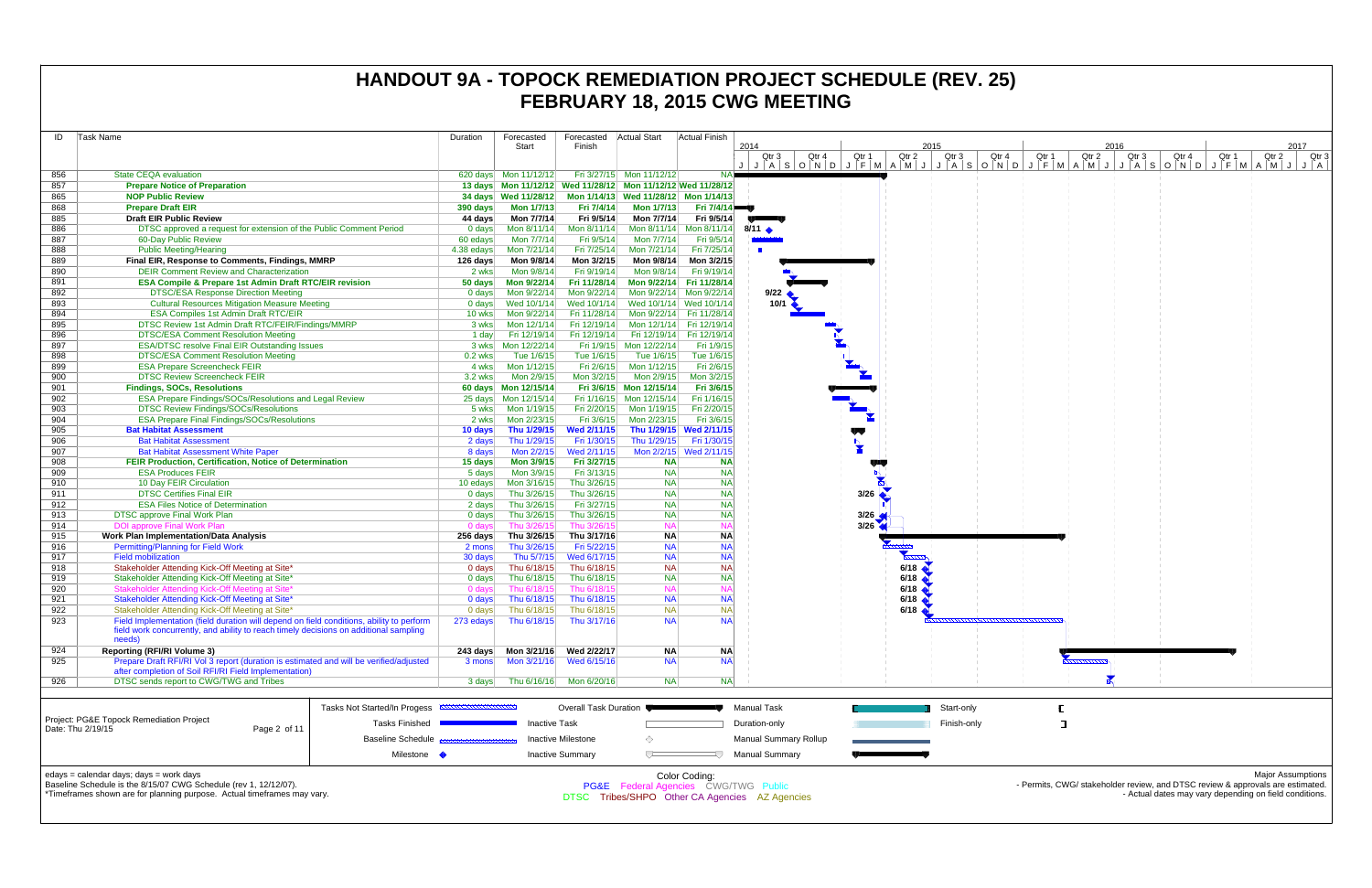| ID         | Task Name                                                                                                                                                                                   | Duration           | Forecasted                         | Forecasted                   | <b>Actual Start</b>                                             | <b>Actual Finish</b>     |                                                                                 |              |                    |                |       |                        |       |                                                                                                                                          |                          |
|------------|---------------------------------------------------------------------------------------------------------------------------------------------------------------------------------------------|--------------------|------------------------------------|------------------------------|-----------------------------------------------------------------|--------------------------|---------------------------------------------------------------------------------|--------------|--------------------|----------------|-------|------------------------|-------|------------------------------------------------------------------------------------------------------------------------------------------|--------------------------|
|            |                                                                                                                                                                                             |                    | Start                              | Finish                       |                                                                 |                          | 2014<br>Qtr 3<br>Qtr 4                                                          | Qtr 1        | 2015<br>Qtr 2      | Qtr 3<br>Qtr 4 | Qtr 1 | 2016<br>Qtr 2<br>Qtr 3 | Qtr 4 | Qtr 1<br>Qtr 2                                                                                                                           | 2017<br>Qtr 3            |
|            |                                                                                                                                                                                             |                    |                                    |                              |                                                                 |                          | LIMANIJ I FIMANIJ I ALSOND J FIMANIJ I ALSOND J FIMANIJ I ALSOND J FIMANIJ I AL |              |                    |                |       |                        |       |                                                                                                                                          |                          |
| 856        | <b>State CEQA evaluation</b>                                                                                                                                                                |                    | 620 days Mon 11/12/12              |                              | Fri 3/27/15 Mon 11/12/12                                        |                          |                                                                                 |              |                    |                |       |                        |       |                                                                                                                                          |                          |
| 857        | <b>Prepare Notice of Preparation</b>                                                                                                                                                        |                    |                                    |                              | 13 days  Mon 11/12/12  Wed 11/28/12  Mon 11/12/12  Wed 11/28/12 |                          |                                                                                 |              |                    |                |       |                        |       |                                                                                                                                          |                          |
| 865        | <b>NOP Public Review</b>                                                                                                                                                                    |                    |                                    |                              | 34 days Wed 11/28/12 Mon 1/14/13 Wed 11/28/12 Mon 1/14/13       |                          |                                                                                 |              |                    |                |       |                        |       |                                                                                                                                          |                          |
| 868        | <b>Prepare Draft EIR</b>                                                                                                                                                                    | 390 days           | <b>Mon 1/7/13</b>                  | Fri 7/4/14                   | <b>Mon 1/7/13</b>                                               | <b>Fri 7/4/14</b>        |                                                                                 |              |                    |                |       |                        |       |                                                                                                                                          |                          |
| 885<br>886 | <b>Draft EIR Public Review</b><br>DTSC approved a request for extension of the Public Comment Period                                                                                        | 44 days            | Mon 7/7/14<br>Mon 8/11/14          | Fri 9/5/14<br>Mon 8/11/14    | Mon 7/7/14<br>Mon 8/11/14 Mon 8/11/14                           | Fri 9/5/14               | $8/11$ $\bullet$                                                                |              |                    |                |       |                        |       |                                                                                                                                          |                          |
| 887        | 60-Day Public Review                                                                                                                                                                        | 0 days<br>60 edays | Mon 7/7/14                         | Fri 9/5/14                   | Mon 7/7/14                                                      | Fri 9/5/14               |                                                                                 |              |                    |                |       |                        |       |                                                                                                                                          |                          |
| 888        | <b>Public Meeting/Hearing</b>                                                                                                                                                               | 4.38 edays         | Mon 7/21/14                        | Fri 7/25/14                  | Mon 7/21/14                                                     | Fri 7/25/14              | <b>TELESCOPE</b>                                                                |              |                    |                |       |                        |       |                                                                                                                                          |                          |
| 889        | Final EIR, Response to Comments, Findings, MMRP                                                                                                                                             | 126 days           | Mon 9/8/14                         | Mon 3/2/15                   | Mon 9/8/14                                                      | Mon 3/2/15               |                                                                                 |              |                    |                |       |                        |       |                                                                                                                                          |                          |
| 890        | <b>DEIR Comment Review and Characterization</b>                                                                                                                                             | 2 wks              | Mon 9/8/14                         | Fri 9/19/14                  | Mon 9/8/14                                                      | Fri 9/19/14              |                                                                                 |              |                    |                |       |                        |       |                                                                                                                                          |                          |
| 891        | <b>ESA Compile &amp; Prepare 1st Admin Draft RTC/EIR revision</b>                                                                                                                           | 50 days            | Mon 9/22/14                        | Fri 11/28/14                 | Mon 9/22/14 Fri 11/28/14                                        |                          |                                                                                 |              |                    |                |       |                        |       |                                                                                                                                          |                          |
| 892        | <b>DTSC/ESA Response Direction Meeting</b>                                                                                                                                                  | 0 days             | Mon 9/22/14                        | Mon 9/22/14                  | Mon 9/22/14 Mon 9/22/14                                         |                          | 9/22                                                                            |              |                    |                |       |                        |       |                                                                                                                                          |                          |
| 893        | <b>Cultural Resources Mitigation Measure Meeting</b>                                                                                                                                        | 0 days             | Wed 10/1/14                        | Wed 10/1/14                  | Wed 10/1/14 Wed 10/1/14                                         |                          | 10/1                                                                            |              |                    |                |       |                        |       |                                                                                                                                          |                          |
| 894        | <b>ESA Compiles 1st Admin Draft RTC/EIR</b>                                                                                                                                                 | 10 wks             | Mon 9/22/14                        | Fri 11/28/14                 | Mon 9/22/14 Fri 11/28/14                                        |                          |                                                                                 |              |                    |                |       |                        |       |                                                                                                                                          |                          |
| 895        | DTSC Review 1st Admin Draft RTC/FEIR/Findings/MMRP                                                                                                                                          | 3 wks              | Mon 12/1/14                        | Fri 12/19/14                 | Mon 12/1/14 Fri 12/19/14                                        |                          |                                                                                 |              |                    |                |       |                        |       |                                                                                                                                          |                          |
| 896        | <b>DTSC/ESA Comment Resolution Meeting</b>                                                                                                                                                  | 1 day              | Fri 12/19/14                       | Fri 12/19/14                 | Fri 12/19/14 Fri 12/19/14                                       |                          |                                                                                 |              |                    |                |       |                        |       |                                                                                                                                          |                          |
| 897<br>898 | <b>ESA/DTSC resolve Final EIR Outstanding Issues</b><br><b>DTSC/ESA Comment Resolution Meeting</b>                                                                                          | $0.2$ wks          | 3 wks   Mon 12/22/14<br>Tue 1/6/15 | Tue 1/6/15                   | Fri 1/9/15 Mon 12/22/14<br>Tue 1/6/15                           | Fri 1/9/15<br>Tue 1/6/15 |                                                                                 |              |                    |                |       |                        |       |                                                                                                                                          |                          |
| 899        | <b>ESA Prepare Screencheck FEIR</b>                                                                                                                                                         | 4 wks              | Mon 1/12/15                        | Fri 2/6/15                   | Mon 1/12/15                                                     | Fri 2/6/15               |                                                                                 |              |                    |                |       |                        |       |                                                                                                                                          |                          |
| 900        | <b>DTSC Review Screencheck FEIR</b>                                                                                                                                                         | 3.2 wks            | Mon 2/9/15                         | Mon 3/2/15                   | Mon 2/9/15                                                      | Mon 3/2/15               |                                                                                 |              |                    |                |       |                        |       |                                                                                                                                          |                          |
| 901        | <b>Findings, SOCs, Resolutions</b>                                                                                                                                                          |                    |                                    |                              | Fri 3/6/15 Mon 12/15/14                                         | Fri 3/6/15               |                                                                                 |              |                    |                |       |                        |       |                                                                                                                                          |                          |
| 902        | <b>ESA Prepare Findings/SOCs/Resolutions and Legal Review</b>                                                                                                                               |                    | 25 days Mon 12/15/14               |                              | Fri 1/16/15 Mon 12/15/14                                        | Fri 1/16/15              |                                                                                 |              |                    |                |       |                        |       |                                                                                                                                          |                          |
| 903        | <b>DTSC Review Findings/SOCs/Resolutions</b>                                                                                                                                                | 5 wks              | Mon 1/19/15                        | Fri 2/20/15                  | Mon 1/19/15                                                     | Fri 2/20/15              |                                                                                 |              |                    |                |       |                        |       |                                                                                                                                          |                          |
| 904        | <b>ESA Prepare Final Findings/SOCs/Resolutions</b>                                                                                                                                          | 2 wks              | Mon 2/23/15                        | Fri 3/6/15                   | Mon 2/23/15                                                     | Fri 3/6/15               |                                                                                 |              |                    |                |       |                        |       |                                                                                                                                          |                          |
| 905        | <b>Bat Habitat Assessment</b>                                                                                                                                                               | 10 days            | Thu 1/29/15                        | <b>Wed 2/11/15</b>           | Thu 1/29/15 Wed 2/11/15                                         |                          |                                                                                 | w            |                    |                |       |                        |       |                                                                                                                                          |                          |
| 906        | <b>Bat Habitat Assessment</b>                                                                                                                                                               | 2 days             | Thu 1/29/15                        | Fri 1/30/15                  | Thu 1/29/15                                                     | Fri 1/30/15              |                                                                                 |              |                    |                |       |                        |       |                                                                                                                                          |                          |
| 907        | <b>Bat Habitat Assessment White Paper</b>                                                                                                                                                   | 8 days             | Mon 2/2/15                         | Wed 2/11/15                  |                                                                 | Mon 2/2/15 Wed 2/11/15   |                                                                                 |              |                    |                |       |                        |       |                                                                                                                                          |                          |
| 908<br>909 | FEIR Production, Certification, Notice of Determination<br><b>ESA Produces FEIR</b>                                                                                                         | 15 days<br>5 days  | Mon 3/9/15<br>Mon 3/9/15           | Fri 3/27/15<br>Fri 3/13/15   | <b>NA</b><br><b>NA</b>                                          | <b>NA</b><br><b>NA</b>   |                                                                                 | $\mathbf{z}$ |                    |                |       |                        |       |                                                                                                                                          |                          |
| 910        | 10 Day FEIR Circulation                                                                                                                                                                     | 10 edays           | Mon 3/16/15                        | Thu 3/26/15                  | <b>NA</b>                                                       | <b>NA</b>                |                                                                                 |              |                    |                |       |                        |       |                                                                                                                                          |                          |
| 911        | <b>DTSC Certifies Final EIR</b>                                                                                                                                                             | 0 days             | Thu 3/26/15                        | Thu 3/26/15                  | <b>NA</b>                                                       | <b>NA</b>                |                                                                                 | 3/26         |                    |                |       |                        |       |                                                                                                                                          |                          |
| 912        | <b>ESA Files Notice of Determination</b>                                                                                                                                                    | 2 days             | Thu 3/26/15                        | Fri 3/27/15                  | <b>NA</b>                                                       | <b>NA</b>                |                                                                                 |              |                    |                |       |                        |       |                                                                                                                                          |                          |
| 913        | <b>DTSC approve Final Work Plan</b>                                                                                                                                                         | 0 days             | Thu 3/26/15                        | Thu 3/26/15                  | <b>NA</b>                                                       | <b>NA</b>                |                                                                                 | 3/26         |                    |                |       |                        |       |                                                                                                                                          |                          |
| 914        | <b>DOI approve Final Work Plan</b>                                                                                                                                                          | 0 days             | Thu 3/26/15                        | Thu 3/26/15                  | <b>NA</b>                                                       |                          |                                                                                 | 3/26         |                    |                |       |                        |       |                                                                                                                                          |                          |
| 915        | <b>Work Plan Implementation/Data Analysis</b>                                                                                                                                               | 256 days           | Thu 3/26/15                        | Thu 3/17/16                  | <b>NA</b>                                                       | <b>NA</b>                |                                                                                 |              |                    |                |       |                        |       |                                                                                                                                          |                          |
| 916<br>917 | <b>Permitting/Planning for Field Work</b><br><b>Field mobilization</b>                                                                                                                      | 2 mons             | Thu 3/26/15<br>Thu 5/7/15          | Fri 5/22/15<br>Wed 6/17/15   | <b>NA</b><br><b>NA</b>                                          | <b>NA</b><br><b>NA</b>   |                                                                                 |              |                    |                |       |                        |       |                                                                                                                                          |                          |
| 918        | Stakeholder Attending Kick-Off Meeting at Site*                                                                                                                                             | 30 days<br>0 days  | Thu 6/18/15                        | Thu 6/18/15                  | <b>NA</b>                                                       | <b>NA</b>                |                                                                                 |              | 6/18               |                |       |                        |       |                                                                                                                                          |                          |
| 919        | Stakeholder Attending Kick-Off Meeting at Site*                                                                                                                                             | 0 days             | Thu 6/18/15                        | Thu 6/18/15                  | <b>NA</b>                                                       | <b>NA</b>                |                                                                                 |              | $6/18$ $\triangle$ |                |       |                        |       |                                                                                                                                          |                          |
| 920        | Stakeholder Attending Kick-Off Meeting at Site*                                                                                                                                             | 0 days             | Thu 6/18/15                        | Thu 6/18/15                  | <b>NA</b>                                                       | <b>NA</b>                |                                                                                 |              | 6/18               |                |       |                        |       |                                                                                                                                          |                          |
| 921        | Stakeholder Attending Kick-Off Meeting at Site*                                                                                                                                             | 0 days             | Thu 6/18/15                        | Thu 6/18/15                  | <b>NA</b>                                                       | <b>NA</b>                |                                                                                 |              | 6/18               |                |       |                        |       |                                                                                                                                          |                          |
| 922        | Stakeholder Attending Kick-Off Meeting at Site*                                                                                                                                             | 0 days             | Thu 6/18/15                        | Thu 6/18/15                  | <b>NA</b>                                                       | <b>NA</b>                |                                                                                 |              | 6/18               |                |       |                        |       |                                                                                                                                          |                          |
| 923        | Field Implementation (field duration will depend on field conditions, ability to perform<br>field work concurrently, and ability to reach timely decisions on additional sampling<br>needs) | 273 edays          |                                    | Thu 6/18/15 Thu 3/17/16      | <b>NA</b>                                                       | <b>NAI</b>               |                                                                                 |              |                    |                |       |                        |       |                                                                                                                                          |                          |
| 924        | <b>Reporting (RFI/RI Volume 3)</b>                                                                                                                                                          |                    |                                    |                              | <b>NA</b>                                                       | <b>NA</b>                |                                                                                 |              |                    |                |       |                        |       |                                                                                                                                          |                          |
| 925        | Prepare Draft RFI/RI Vol 3 report (duration is estimated and will be verified/adjusted<br>after completion of Soil RFI/RI Field Implementation)                                             | 3 mons             |                                    | Mon 3/21/16 Wed 6/15/16      | <b>NA</b>                                                       | <b>NA</b>                |                                                                                 |              |                    |                |       |                        |       |                                                                                                                                          |                          |
| 926        | DTSC sends report to CWG/TWG and Tribes                                                                                                                                                     | 3 days             |                                    | Thu 6/16/16 Mon 6/20/16      | <b>NA</b>                                                       | <b>NA</b>                |                                                                                 |              |                    |                |       |                        |       |                                                                                                                                          |                          |
|            | Tasks Not Started/In Progess                                                                                                                                                                |                    |                                    | <b>Overall Task Duration</b> |                                                                 |                          | Manual Task                                                                     |              |                    | Start-only     |       |                        |       |                                                                                                                                          |                          |
|            | Project: PG&E Topock Remediation Project<br>Tasks Finished                                                                                                                                  |                    | <b>Inactive Task</b>               |                              |                                                                 |                          | Duration-only                                                                   |              |                    | Finish-only    | ¬     |                        |       |                                                                                                                                          |                          |
|            | Date: Thu 2/19/15<br>Page 2 of 11<br><b>Baseline Schedule</b>                                                                                                                               |                    |                                    | <b>Inactive Milestone</b>    | ◇                                                               |                          | Manual Summary Rollup                                                           |              |                    |                |       |                        |       |                                                                                                                                          |                          |
|            | Milestone •                                                                                                                                                                                 |                    |                                    | <b>Inactive Summary</b>      | $\sqrt{}$                                                       |                          | <b>Manual Summary</b>                                                           |              |                    |                |       |                        |       |                                                                                                                                          |                          |
|            | edays = calendar days; days = work days<br>Baseline Schedule is the 8/15/07 CWG Schedule (rev 1, 12/12/07).<br>*Timeframes shown are for planning purpose. Actual timeframes may vary.      |                    |                                    |                              | PG&E Federal Agencies CWG/TWG Public                            | Color Coding:            | DTSC Tribes/SHPO Other CA Agencies AZ Agencies                                  |              |                    |                |       |                        |       | - Permits, CWG/ stakeholder review, and DTSC review & approvals are estimated.<br>- Actual dates may vary depending on field conditions. | <b>Major Assumptions</b> |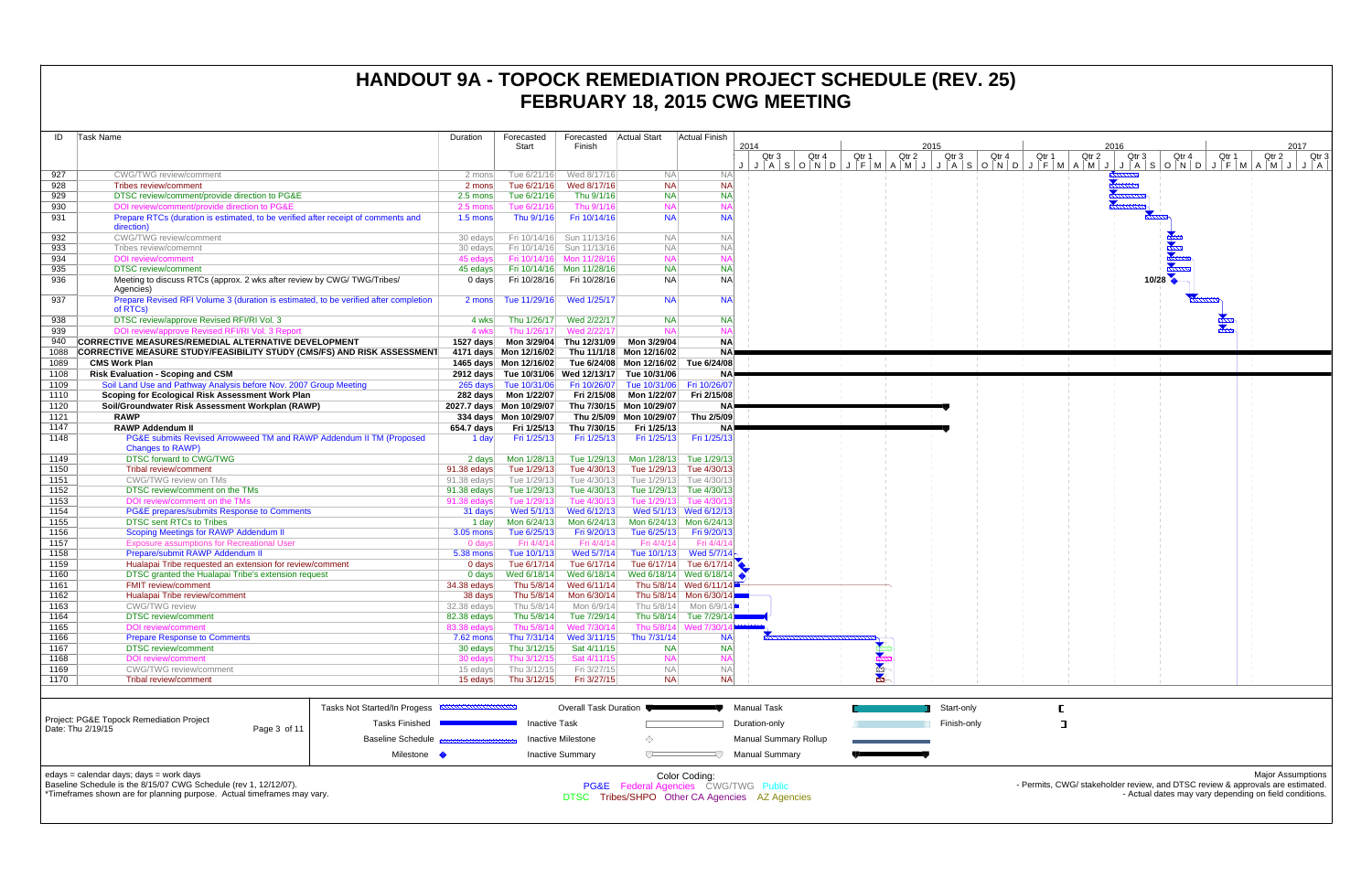| ID           | <b>Task Name</b>                                                                                 | Duration         | Forecasted<br>Start       | Forecasted<br>Finish       | Actual Start                         | Actual Finish                        | 2014<br>Qtr 4<br>Qtr 3                                              |       | 2015<br>Qtr 2 | Qtr 3       | Qtr 4 |
|--------------|--------------------------------------------------------------------------------------------------|------------------|---------------------------|----------------------------|--------------------------------------|--------------------------------------|---------------------------------------------------------------------|-------|---------------|-------------|-------|
|              |                                                                                                  |                  |                           |                            |                                      |                                      | $J   A   S   O   N   D   J   F   M   A   M   J   J   A   S   O   N$ | Qtr 1 |               |             |       |
| 927          | <b>CWG/TWG</b> review/comment                                                                    | 2 mons           | Tue 6/21/16               | Wed 8/17/16                | <b>NA</b>                            | <b>NA</b>                            |                                                                     |       |               |             |       |
| 928          | Tribes review/comment                                                                            | 2 mons           | Tue 6/21/16               | Wed 8/17/16                | <b>NA</b>                            | <b>NA</b>                            |                                                                     |       |               |             |       |
| 929          | DTSC review/comment/provide direction to PG&E                                                    | 2.5 mons         | Tue 6/21/16               | Thu 9/1/16                 | <b>NA</b>                            | <b>NA</b>                            |                                                                     |       |               |             |       |
| 930          | DOI review/comment/provide direction to PG&E                                                     | 2.5 mons         | Tue 6/21/16               | Thu 9/1/16                 | <b>NA</b>                            | <b>NA</b>                            |                                                                     |       |               |             |       |
| 931          | Prepare RTCs (duration is estimated, to be verified after receipt of comments and<br>direction)  | $1.5$ mons       | Thu 9/1/16                | Fri 10/14/16               | <b>NA</b>                            | <b>NA</b>                            |                                                                     |       |               |             |       |
| 932          | CWG/TWG review/comment                                                                           | 30 edays         | Fri 10/14/16              | Sun 11/13/16               | <b>NA</b>                            | <b>NA</b>                            |                                                                     |       |               |             |       |
| 933          | Tribes review/comemnt                                                                            | 30 edays         | Fri 10/14/16              | Sun 11/13/16               | <b>NA</b>                            | <b>NA</b>                            |                                                                     |       |               |             |       |
| 934          | <b>DOI</b> review/comment                                                                        | 45 edays         |                           | Fri 10/14/16 Mon 11/28/16  | <b>NA</b>                            | <b>NA</b>                            |                                                                     |       |               |             |       |
| 935          | <b>DTSC</b> review/comment                                                                       | 45 edays         |                           | Fri 10/14/16 Mon 11/28/16  | <b>NA</b>                            | <b>NA</b>                            |                                                                     |       |               |             |       |
| 936          | Meeting to discuss RTCs (approx. 2 wks after review by CWG/TWG/Tribes/<br>Agencies)              | 0 days           | Fri 10/28/16              | Fri 10/28/16               | <b>NA</b>                            | <b>NA</b>                            |                                                                     |       |               |             |       |
| 937          | Prepare Revised RFI Volume 3 (duration is estimated, to be verified after completion<br>of RTCs) | 2 mons           | Tue 11/29/16              | Wed 1/25/17                | <b>NA</b>                            | <b>NA</b>                            |                                                                     |       |               |             |       |
| 938          | DTSC review/approve Revised RFI/RI Vol. 3                                                        | 4 wks            | Thu 1/26/17               | Wed 2/22/17                | <b>NA</b>                            | <b>NA</b>                            |                                                                     |       |               |             |       |
| 939          | DOI review/approve Revised RFI/RI Vol. 3 Report                                                  | 4 wks            | Thu 1/26/17               | Wed 2/22/17                | <b>NA</b>                            | <b>NA</b>                            |                                                                     |       |               |             |       |
| 940          | <b>CORRECTIVE MEASURES/REMEDIAL ALTERNATIVE DEVELOPMENT</b>                                      | 1527 days        | Mon 3/29/04               | Thu 12/31/09               | Mon 3/29/04                          | <b>NA</b>                            |                                                                     |       |               |             |       |
| 1088         | <b>CORRECTIVE MEASURE STUDY/FEASIBILITY STUDY (CMS/FS) AND RISK ASSESSMENT</b>                   |                  | 4171 days Mon 12/16/02    |                            | Thu 11/1/18 Mon 12/16/02             | <b>NA</b>                            |                                                                     |       |               |             |       |
| 1089         | <b>CMS Work Plan</b>                                                                             |                  | 1465 days Mon 12/16/02    |                            | Tue 6/24/08 Mon 12/16/02 Tue 6/24/08 |                                      |                                                                     |       |               |             |       |
| 1108         | <b>Risk Evaluation - Scoping and CSM</b>                                                         |                  | 2912 days Tue 10/31/06    | Wed 12/13/17               | Tue 10/31/06                         | <b>NA</b>                            |                                                                     |       |               |             |       |
| 1109         | Soil Land Use and Pathway Analysis before Nov. 2007 Group Meeting                                |                  | 265 days Tue 10/31/06     | Fri 10/26/07               | Tue 10/31/06   Fri 10/26/07          |                                      |                                                                     |       |               |             |       |
| 1110         | Scoping for Ecological Risk Assessment Work Plan                                                 | 282 days         | Mon 1/22/07               | Fri 2/15/08                | Mon 1/22/07                          | Fri 2/15/08                          |                                                                     |       |               |             |       |
| 1120         | Soil/Groundwater Risk Assessment Workplan (RAWP)                                                 |                  | 2027.7 days Mon 10/29/07  |                            | Thu 7/30/15 Mon 10/29/07             | NA)                                  |                                                                     |       |               |             |       |
| 1121         | <b>RAWP</b>                                                                                      |                  | 334 days Mon 10/29/07     |                            | Thu 2/5/09 Mon 10/29/07              | Thu 2/5/09                           |                                                                     |       |               |             |       |
| 1147         | <b>RAWP Addendum II</b>                                                                          | 654.7 days       | Fri 1/25/13               | Thu 7/30/15                | Fri 1/25/13                          | <b>NA</b>                            |                                                                     |       |               |             |       |
| 1148         | PG&E submits Revised Arrowweed TM and RAWP Addendum II TM (Proposed<br><b>Changes to RAWP)</b>   | 1 day            | Fri 1/25/13               | Fri 1/25/13                | Fri 1/25/13                          | Fri 1/25/13                          |                                                                     |       |               |             |       |
| 1149         | <b>DTSC forward to CWG/TWG</b>                                                                   | 2 days           | Mon 1/28/13               | Tue 1/29/13                |                                      | Mon 1/28/13 Tue 1/29/13              |                                                                     |       |               |             |       |
| 1150         | Tribal review/comment                                                                            | 91.38 edays      | Tue 1/29/13               | Tue 4/30/13                |                                      | Tue 1/29/13 Tue 4/30/13              |                                                                     |       |               |             |       |
| 1151         | CWG/TWG review on TMs                                                                            | $91.38$ edays    | Tue 1/29/13               | Tue 4/30/13                |                                      | Tue 1/29/13 Tue 4/30/13              |                                                                     |       |               |             |       |
| 1152         | DTSC review/comment on the TMs                                                                   | $91.38$ edays    | Tue 1/29/13               | Tue 4/30/13                |                                      | Tue 1/29/13 Tue 4/30/13              |                                                                     |       |               |             |       |
| 1153<br>1154 | DOI review/comment on the TMs<br>PG&E prepares/submits Response to Comments                      | 91.38 edays      | Tue 1/29/13<br>Wed 5/1/13 | Tue 4/30/13<br>Wed 6/12/13 | Tue 1/29/13                          | Tue 4/30/1<br>Wed 5/1/13 Wed 6/12/13 |                                                                     |       |               |             |       |
| 1155         | <b>DTSC sent RTCs to Tribes</b>                                                                  | 31 days<br>1 day | Mon 6/24/13               | Mon 6/24/13                |                                      | Mon 6/24/13 Mon 6/24/13              |                                                                     |       |               |             |       |
| 1156         | <b>Scoping Meetings for RAWP Addendum II</b>                                                     | $3.05$ mons      | Tue 6/25/13               | Fri 9/20/13                | Tue 6/25/13                          | Fri 9/20/13                          |                                                                     |       |               |             |       |
| 1157         | <b>Exposure assumptions for Recreational User</b>                                                | 0 days           | Fri 4/4/14                | Fri 4/4/14                 | Fri 4/4/14                           | Fri 4/4/1                            |                                                                     |       |               |             |       |
| 1158         | Prepare/submit RAWP Addendum II                                                                  | 5.38 mons        | Tue 10/1/13               | Wed 5/7/14                 | Tue 10/1/13                          | Wed $5/7/14$                         |                                                                     |       |               |             |       |
| 1159         | Hualapai Tribe requested an extension for review/comment                                         | $0$ days         | Tue 6/17/14               | Tue 6/17/14                |                                      | Tue 6/17/14 Tue 6/17/14              |                                                                     |       |               |             |       |
| 1160         | DTSC granted the Hualapai Tribe's extension request                                              | $0$ days         | Wed 6/18/14               | Wed 6/18/14                |                                      | Wed 6/18/14 Wed 6/18/14              |                                                                     |       |               |             |       |
| 1161         | <b>FMIT review/comment</b>                                                                       | 34.38 edays      | Thu 5/8/14                | Wed 6/11/14                |                                      | Thu 5/8/14 Wed 6/11/14               |                                                                     |       |               |             |       |
| 1162         | Hualapai Tribe review/comment                                                                    | 38 days          | Thu 5/8/14                | Mon 6/30/14                |                                      | Thu 5/8/14 Mon 6/30/14               |                                                                     |       |               |             |       |
| 1163         | <b>CWG/TWG</b> review                                                                            | 32.38 edays      | Thu 5/8/14                | Mon 6/9/14                 | Thu 5/8/14                           | Mon 6/9/14                           |                                                                     |       |               |             |       |
| 1164         | <b>DTSC</b> review/comment                                                                       | 82.38 edays      | Thu 5/8/14                | Tue 7/29/14                |                                      | Thu 5/8/14 Tue 7/29/14               |                                                                     |       |               |             |       |
| 1165         | <b>DOI</b> review/comment                                                                        | 83.38 edays      | Thu 5/8/14                | Wed 7/30/14                |                                      | Thu 5/8/14 Wed 7/30/                 |                                                                     |       |               |             |       |
| 1166         | <b>Prepare Response to Comments</b>                                                              | 7.62 mons        | Thu 7/31/14               | Wed 3/11/15                | Thu 7/31/14                          | <b>NA</b>                            |                                                                     |       |               |             |       |
| 1167         | <b>DTSC</b> review/comment                                                                       | 30 edays         | Thu 3/12/15               | Sat 4/11/15                | <b>NA</b>                            | <b>NA</b>                            |                                                                     |       |               |             |       |
| 1168         | <b>DOI</b> review/comment                                                                        | 30 edays         | Thu 3/12/15               | Sat 4/11/15                | <b>NA</b>                            | <b>NA</b>                            |                                                                     |       |               |             |       |
| 1169         | <b>CWG/TWG</b> review/comment                                                                    | 15 edays         | Thu 3/12/15               | Fri 3/27/15                | <b>NA</b>                            | <b>NA</b>                            |                                                                     | 2424  |               |             |       |
| 1170         | Tribal review/comment                                                                            | 15 edays         | Thu 3/12/15               | Fri 3/27/15                | <b>NA</b>                            | <b>NA</b>                            |                                                                     |       |               |             |       |
|              | Tasks Not Started/In Progess                                                                     |                  |                           | Overall Task Duration      |                                      |                                      | <b>Manual Task</b>                                                  |       |               | Start-only  |       |
|              | Project: PG&E Topock Remediation Project<br><b>Tasks Finished</b>                                |                  | <b>Inactive Task</b>      |                            |                                      |                                      | Duration-only                                                       |       |               | Finish-only |       |
|              | Date: Thu 2/19/15<br>Page 3 of 11<br><b>Baseline Schedule</b>                                    |                  |                           | <b>Inactive Milestone</b>  | ◇                                    |                                      | Manual Summary Rollup                                               |       |               |             |       |
|              | Milestone •                                                                                      |                  |                           | <b>Inactive Summary</b>    | ᄃ                                    |                                      | <b>Manual Summary</b>                                               |       |               |             |       |
|              | edays - calendar days: days - work days                                                          |                  |                           |                            |                                      | Color Codina:                        |                                                                     |       |               |             |       |

edays = calendar days; days = work days



Baseline Schedule is the 8/15/07 CWG Schedule (rev 1, 12/12/07). \*Timeframes shown are for planning purpose. Actual timeframes may vary.

Color Coding: PG&E Federal Agencies CWG/TWG Public DTSC Tribes/SHPO Other CA Agencies AZ Agencies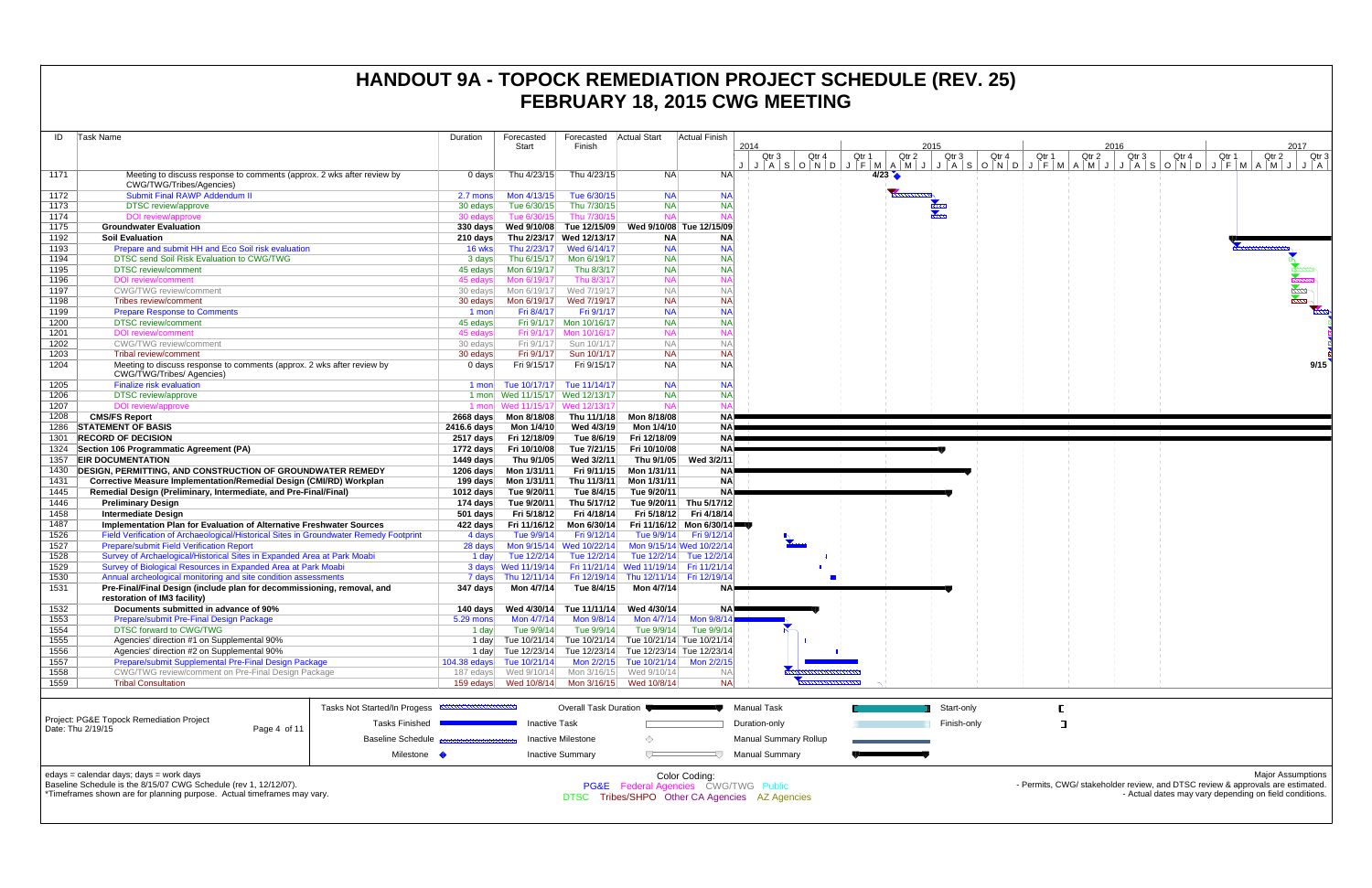|              |                                                                                                                            |                                                                    |                                      |                                         |                                                                         |                                                     | I LUNUANI TU, ZUTU UNU MELIMIY                 |       |       |             |       |       |       |                                                                                |       |                          |
|--------------|----------------------------------------------------------------------------------------------------------------------------|--------------------------------------------------------------------|--------------------------------------|-----------------------------------------|-------------------------------------------------------------------------|-----------------------------------------------------|------------------------------------------------|-------|-------|-------------|-------|-------|-------|--------------------------------------------------------------------------------|-------|--------------------------|
| ID           | Task Name                                                                                                                  | Duration                                                           | Forecasted<br>Start                  | Forecasted<br>Finish                    | <b>Actual Start</b>                                                     | <b>Actual Finish</b>                                | 2014                                           |       |       | 2015        |       |       |       | 2016                                                                           |       | 2017                     |
|              |                                                                                                                            |                                                                    |                                      |                                         |                                                                         |                                                     | Qtr 4<br>Qtr 3                                 | Qtr 1 | Qtr 2 | Qtr 3       | Qtr 4 | Qtr 1 | Qtr 2 | Qtr 4<br>Qtr <sub>3</sub>                                                      | Qtr 1 | Qtr 2<br>Qtr 3           |
| 1171         | Meeting to discuss response to comments (approx. 2 wks after review by<br>CWG/TWG/Tribes/Agencies)                         | $0$ days                                                           | Thu 4/23/15                          | Thu 4/23/15                             | <b>NA</b>                                                               | <b>NA</b>                                           |                                                |       | 4/23  |             |       |       |       | JASONDJFMAMJJJASONDJFMAMJJJASONDJFMAMJJA                                       |       |                          |
| 1172         | <b>Submit Final RAWP Addendum II</b>                                                                                       | 2.7 mons                                                           | Mon 4/13/15                          | Tue 6/30/15                             | <b>NA</b>                                                               | <b>NA</b>                                           |                                                |       |       |             |       |       |       |                                                                                |       |                          |
| 1173         | <b>DTSC</b> review/approve                                                                                                 | 30 edays                                                           | Tue 6/30/15                          | Thu 7/30/15                             | <b>NA</b>                                                               | <b>NA</b>                                           |                                                |       |       |             |       |       |       |                                                                                |       |                          |
| 1174         | DOI review/approve                                                                                                         | 30 edays                                                           | Tue 6/30/15                          | Thu 7/30/15                             | <b>NA</b>                                                               |                                                     |                                                |       |       |             |       |       |       |                                                                                |       |                          |
| 1175         | <b>Groundwater Evaluation</b>                                                                                              |                                                                    |                                      |                                         |                                                                         | Wed 9/10/08 Tue 12/15/09                            |                                                |       |       |             |       |       |       |                                                                                |       |                          |
| 1192         | <b>Soil Evaluation</b>                                                                                                     |                                                                    | 210 days Thu 2/23/17 Wed 12/13/17    |                                         | <b>NA</b>                                                               | <b>NA</b>                                           |                                                |       |       |             |       |       |       |                                                                                |       |                          |
| 1193         | Prepare and submit HH and Eco Soil risk evaluation                                                                         | 16 wks                                                             | Thu 2/23/17                          | Wed 6/14/17                             | <b>NA</b>                                                               | <b>NA</b>                                           |                                                |       |       |             |       |       |       |                                                                                |       |                          |
| 1194<br>1195 | DTSC send Soil Risk Evaluation to CWG/TWG<br><b>DTSC</b> review/comment                                                    | 3 days<br>45 edays                                                 | Thu 6/15/17<br>Mon 6/19/17           | Mon 6/19/17<br>Thu 8/3/17               | <b>NA</b><br><b>NA</b>                                                  | <b>NA</b><br><b>NA</b>                              |                                                |       |       |             |       |       |       |                                                                                |       |                          |
| 1196         | <b>DOI</b> review/comment                                                                                                  | 45 edavs                                                           | Mon 6/19/17                          | Thu 8/3/17                              | <b>NA</b>                                                               |                                                     |                                                |       |       |             |       |       |       |                                                                                |       |                          |
| 1197         | <b>CWG/TWG</b> review/comment                                                                                              | 30 edays                                                           | Mon 6/19/17                          | Wed 7/19/17                             | <b>NA</b>                                                               | <b>NA</b>                                           |                                                |       |       |             |       |       |       |                                                                                |       |                          |
| 1198         | Tribes review/comment                                                                                                      | 30 edays                                                           | Mon 6/19/17                          | Wed 7/19/17                             | <b>NA</b>                                                               | <b>NA</b>                                           |                                                |       |       |             |       |       |       |                                                                                |       |                          |
| 1199         | <b>Prepare Response to Comments</b>                                                                                        | 1 mon                                                              | Fri 8/4/17                           | Fri 9/1/17                              | <b>NA</b>                                                               | <b>NA</b>                                           |                                                |       |       |             |       |       |       |                                                                                |       |                          |
| 1200         | <b>DTSC</b> review/comment                                                                                                 | 45 edays                                                           |                                      | Fri 9/1/17 Mon 10/16/17                 | <b>NA</b>                                                               | <b>NA</b>                                           |                                                |       |       |             |       |       |       |                                                                                |       |                          |
| 1201         | <b>DOI</b> review/comment                                                                                                  | 45 edays                                                           |                                      | Fri 9/1/17 Mon 10/16/17                 | <b>NA</b>                                                               |                                                     |                                                |       |       |             |       |       |       |                                                                                |       |                          |
| 1202         | <b>CWG/TWG</b> review/comment                                                                                              | 30 edays                                                           | Fri 9/1/17                           | Sun 10/1/17                             | <b>NA</b>                                                               | $N_A$                                               |                                                |       |       |             |       |       |       |                                                                                |       |                          |
| 1203<br>1204 | <b>Tribal review/comment</b><br>Meeting to discuss response to comments (approx. 2 wks after review by                     | 30 edays<br>0 days                                                 | Fri 9/1/17<br>Fri 9/15/17            | Sun 10/1/17<br>Fri 9/15/17              | <b>NA</b><br><b>NA</b>                                                  | <b>NA</b><br><b>NA</b>                              |                                                |       |       |             |       |       |       |                                                                                |       | 9/15                     |
|              | CWG/TWG/Tribes/ Agencies)                                                                                                  |                                                                    |                                      |                                         |                                                                         |                                                     |                                                |       |       |             |       |       |       |                                                                                |       |                          |
| 1205         | <b>Finalize risk evaluation</b>                                                                                            | 1 mon                                                              | Tue 10/17/17                         | Tue 11/14/17                            | <b>NA</b>                                                               | <b>NA</b>                                           |                                                |       |       |             |       |       |       |                                                                                |       |                          |
| 1206         | <b>DTSC</b> review/approve                                                                                                 |                                                                    | 1 mon Wed 11/15/17 Wed 12/13/17      |                                         | <b>NA</b>                                                               | <b>NA</b>                                           |                                                |       |       |             |       |       |       |                                                                                |       |                          |
| 1207         | DOI review/approve                                                                                                         |                                                                    | 1 mon Wed 11/15/17 Wed 12/13/17      |                                         | <b>NA</b>                                                               |                                                     |                                                |       |       |             |       |       |       |                                                                                |       |                          |
| 1208         | <b>CMS/FS Report</b>                                                                                                       |                                                                    | 2668 days    Mon 8/18/08             | Thu 11/1/18                             | Mon 8/18/08                                                             | <b>NA</b>                                           |                                                |       |       |             |       |       |       |                                                                                |       |                          |
| 1286         | <b>STATEMENT OF BASIS</b>                                                                                                  | 2416.6 days                                                        | Mon 1/4/10                           | Wed 4/3/19                              | Mon 1/4/10                                                              | NAE                                                 |                                                |       |       |             |       |       |       |                                                                                |       |                          |
| 1301         | <b>RECORD OF DECISION</b>                                                                                                  |                                                                    | 2517 days Fri 12/18/09               | Tue 8/6/19                              | Fri 12/18/09                                                            | NA)<br>NA                                           |                                                |       |       |             |       |       |       |                                                                                |       |                          |
|              | 1324 Section 106 Programmatic Agreement (PA)<br>1357 EIR DOCUMENTATION                                                     | 1449 days                                                          | 1772 days Fri 10/10/08<br>Thu 9/1/05 | Tue 7/21/15<br>Wed 3/2/11               | Fri 10/10/08<br>Thu 9/1/05                                              | Wed 3/2/11                                          |                                                |       |       |             |       |       |       |                                                                                |       |                          |
| 1430         | DESIGN, PERMITTING, AND CONSTRUCTION OF GROUNDWATER REMEDY                                                                 |                                                                    | 1206 days    Mon 1/31/11             |                                         | Fri 9/11/15 Mon 1/31/11                                                 | <b>NA</b>                                           |                                                |       |       |             |       |       |       |                                                                                |       |                          |
| 1431         | Corrective Measure Implementation/Remedial Design (CMI/RD) Workplan                                                        |                                                                    | 199 days    Mon 1/31/11              | Thu 11/3/11                             | Mon 1/31/11                                                             | <b>NA</b>                                           |                                                |       |       |             |       |       |       |                                                                                |       |                          |
| 1445         | Remedial Design (Preliminary, Intermediate, and Pre-Final/Final)                                                           | 1012 days                                                          | Tue 9/20/11                          | Tue 8/4/15                              | Tue 9/20/11                                                             | <b>NA</b>                                           |                                                |       |       |             |       |       |       |                                                                                |       |                          |
| 1446         | <b>Preliminary Design</b>                                                                                                  | 174 days                                                           | Tue 9/20/11                          | Thu 5/17/12                             |                                                                         | Tue 9/20/11 Thu 5/17/12                             |                                                |       |       |             |       |       |       |                                                                                |       |                          |
| 1458         | <b>Intermediate Design</b>                                                                                                 | $501$ days                                                         | Fri 5/18/12                          | Fri 4/18/14                             | Fri 5/18/12                                                             | Fri 4/18/14                                         |                                                |       |       |             |       |       |       |                                                                                |       |                          |
| 1487         | Implementation Plan for Evaluation of Alternative Freshwater Sources                                                       |                                                                    | 422 days Fri 11/16/12                | Mon 6/30/14                             |                                                                         | Fri 11/16/12 Mon 6/30/14                            |                                                |       |       |             |       |       |       |                                                                                |       |                          |
| 1526         | Field Verification of Archaeological/Historical Sites in Groundwater Remedy Footprint                                      | 4 days                                                             | Tue 9/9/14                           | Fri 9/12/14                             | Tue 9/9/14                                                              | Fri 9/12/14                                         |                                                |       |       |             |       |       |       |                                                                                |       |                          |
| 1527<br>1528 | <b>Prepare/submit Field Verification Report</b><br>Survey of Archaelogical/Historical Sites in Expanded Area at Park Moabi | 28 days                                                            |                                      | Mon 9/15/14 Wed 10/22/14<br>Tue 12/2/14 |                                                                         | Mon 9/15/14 Wed 10/22/14<br>Tue 12/2/14 Tue 12/2/14 |                                                |       |       |             |       |       |       |                                                                                |       |                          |
| 1529         | Survey of Biological Resources in Expanded Area at Park Moabi                                                              | 1 day                                                              | Tue 12/2/14<br>3 days Wed 11/19/14   |                                         | Fri 11/21/14 Wed 11/19/14 Fri 11/21/14                                  |                                                     |                                                |       |       |             |       |       |       |                                                                                |       |                          |
| 1530         | Annual archeological monitoring and site condition assessments                                                             |                                                                    | 7 days Thu 12/11/14                  |                                         | Fri 12/19/14 Thu 12/11/14 Fri 12/19/14                                  |                                                     |                                                |       |       |             |       |       |       |                                                                                |       |                          |
| 1531         | Pre-Final/Final Design (include plan for decommissioning, removal, and                                                     | 347 days                                                           | Mon 4/7/14                           | Tue 8/4/15                              | Mon 4/7/14                                                              | NA)                                                 |                                                |       |       |             |       |       |       |                                                                                |       |                          |
|              | restoration of IM3 facility)                                                                                               |                                                                    |                                      |                                         |                                                                         |                                                     |                                                |       |       |             |       |       |       |                                                                                |       |                          |
| 1532         | Documents submitted in advance of 90%                                                                                      |                                                                    |                                      |                                         | 140 days    Ved 4/30/14    Tue 11/11/14    Ved 4/30/14                  |                                                     |                                                |       |       |             |       |       |       |                                                                                |       |                          |
| 1553         | Prepare/submit Pre-Final Design Package                                                                                    | $5.29$ mons                                                        | Mon 4/7/14                           | Mon 9/8/14                              | Mon 4/7/14                                                              | Mon 9/8/14                                          |                                                |       |       |             |       |       |       |                                                                                |       |                          |
| 1554         | DTSC forward to CWG/TWG                                                                                                    | 1 day                                                              | Tue 9/9/14                           | Tue 9/9/14                              | Tue 9/9/14<br>1 day Tue 10/21/14 Tue 10/21/14 Tue 10/21/14 Tue 10/21/14 | Tue 9/9/14                                          |                                                |       |       |             |       |       |       |                                                                                |       |                          |
| 1555<br>1556 | Agencies' direction #1 on Supplemental 90%<br>Agencies' direction #2 on Supplemental 90%                                   |                                                                    |                                      |                                         | 1 day Tue 12/23/14 Tue 12/23/14 Tue 12/23/14 Tue 12/23/14               |                                                     |                                                |       |       |             |       |       |       |                                                                                |       |                          |
| 1557         | Prepare/submit Supplemental Pre-Final Design Package                                                                       | $104.38$ edays                                                     | Tue 10/21/14                         |                                         | Mon 2/2/15 Tue 10/21/14 Mon 2/2/15                                      |                                                     |                                                |       |       |             |       |       |       |                                                                                |       |                          |
| 1558         | CWG/TWG review/comment on Pre-Final Design Package                                                                         | 187 edays                                                          | Wed 9/10/14                          |                                         | Mon 3/16/15 Wed 9/10/14                                                 |                                                     |                                                |       |       |             |       |       |       |                                                                                |       |                          |
| 1559         | <b>Tribal Consultation</b>                                                                                                 |                                                                    |                                      |                                         | Mon 3/16/15 Wed 10/8/14                                                 | <b>NA</b>                                           |                                                |       |       |             |       |       |       |                                                                                |       |                          |
|              |                                                                                                                            |                                                                    |                                      |                                         |                                                                         |                                                     |                                                |       |       |             |       |       |       |                                                                                |       |                          |
|              |                                                                                                                            | <b>Tasks Not Started/In Progess</b><br>,,,,,,,,,,,,,,,,,,,,,,,,,,, |                                      | Overall Task Duration                   |                                                                         |                                                     | Manual Task                                    |       |       | Start-only  |       |       |       |                                                                                |       |                          |
|              | Project: PG&E Topock Remediation Project                                                                                   | <b>Tasks Finished</b>                                              | <b>Inactive Task</b>                 |                                         |                                                                         |                                                     | Duration-only                                  |       |       | Finish-only |       |       |       |                                                                                |       |                          |
|              | Date: Thu 2/19/15<br>Page 4 of 11                                                                                          |                                                                    |                                      |                                         |                                                                         |                                                     |                                                |       |       |             |       |       |       |                                                                                |       |                          |
|              |                                                                                                                            | <b>Baseline Schedule</b>                                           |                                      | <b>Inactive Milestone</b>               |                                                                         |                                                     | <b>Manual Summary Rollup</b>                   |       |       |             |       |       |       |                                                                                |       |                          |
|              |                                                                                                                            | Milestone •                                                        |                                      | <b>Inactive Summary</b>                 | ▽                                                                       |                                                     | <b>Manual Summary</b>                          |       |       |             |       |       |       |                                                                                |       |                          |
|              |                                                                                                                            |                                                                    |                                      |                                         |                                                                         |                                                     |                                                |       |       |             |       |       |       |                                                                                |       |                          |
|              | edays = calendar days; days = work days<br>Baseline Schedule is the 8/15/07 CWG Schedule (rev 1, 12/12/07).                |                                                                    |                                      |                                         | <b>PG&amp;E</b> Federal Agencies CWG/TWG Public                         | Color Coding:                                       |                                                |       |       |             |       |       |       | - Permits, CWG/ stakeholder review, and DTSC review & approvals are estimated. |       | <b>Major Assumptions</b> |
|              | *Timeframes shown are for planning purpose. Actual timeframes may vary.                                                    |                                                                    |                                      |                                         |                                                                         |                                                     | DTSC Tribes/SHPO Other CA Agencies AZ Agencies |       |       |             |       |       |       | - Actual dates may vary depending on field conditions.                         |       |                          |
|              |                                                                                                                            |                                                                    |                                      |                                         |                                                                         |                                                     |                                                |       |       |             |       |       |       |                                                                                |       |                          |
|              |                                                                                                                            |                                                                    |                                      |                                         |                                                                         |                                                     |                                                |       |       |             |       |       |       |                                                                                |       |                          |

| edays = calendar days; days = work days<br>Baseline Schedule is the 8/15/07 CWG Schedule (rev 1, 12/12/07). |              |                                                     |                         | Color Coding:<br><b>PG&amp;E</b> Federal Agencies CWG/TWG Public |                       |             |
|-------------------------------------------------------------------------------------------------------------|--------------|-----------------------------------------------------|-------------------------|------------------------------------------------------------------|-----------------------|-------------|
|                                                                                                             |              | Milestone                                           | <b>Inactive Summary</b> |                                                                  | Manual Summarv        |             |
|                                                                                                             |              | Baseline Schedule <b>Base constants and a</b>       | Inactive Milestone      |                                                                  | Manual Summary Rollup |             |
| Project: PG&E Topock Remediation Project<br>Date: Thu 2/19/15                                               | Page 4 of 11 | <b>Tasks Finished</b>                               | <b>Inactive Task</b>    |                                                                  | Duration-only         | Finish-only |
|                                                                                                             |              | Tasks Not Started/In Progess <b>EXAMPLE REPORTS</b> | Overall Task Duration ■ |                                                                  | Manual Task           | Start-only  |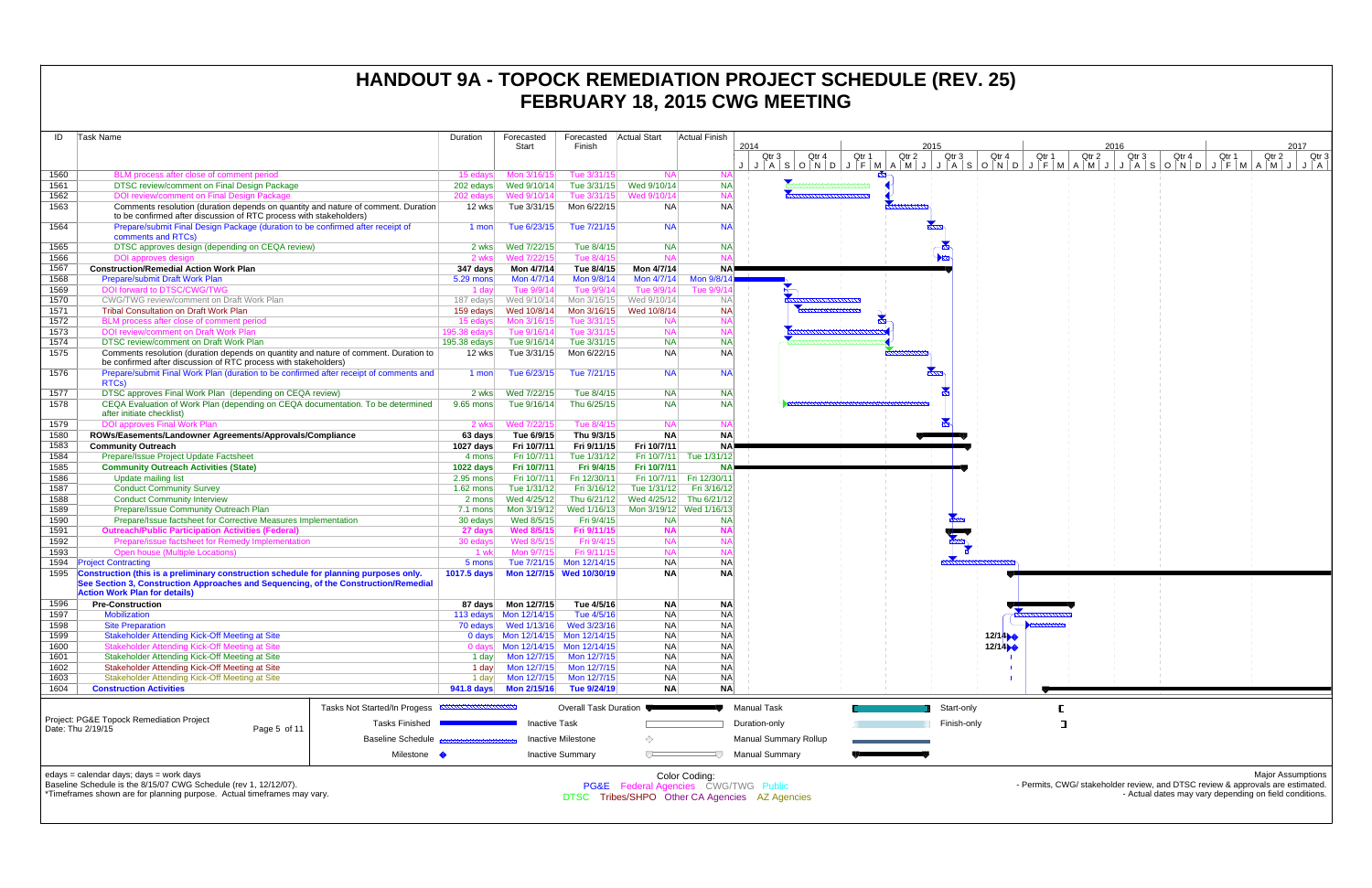| ID           | Task Name                                                                                                                                               | Duration                              | Forecasted                               | Forecasted                 | <b>Actual Start</b>        | <b>Actual Finish</b>                 |                                                |                |                          |                |                        |       |                                                                                                                                          |
|--------------|---------------------------------------------------------------------------------------------------------------------------------------------------------|---------------------------------------|------------------------------------------|----------------------------|----------------------------|--------------------------------------|------------------------------------------------|----------------|--------------------------|----------------|------------------------|-------|------------------------------------------------------------------------------------------------------------------------------------------|
|              |                                                                                                                                                         |                                       | Start                                    | Finish                     |                            |                                      | 2014<br>Qtr 3<br>Qtr 4                         | Qtr 1<br>Qtr 2 | 2015<br>Qtr <sub>3</sub> | Qtr 4<br>Qtr 1 | 2016<br>Qtr 2<br>Qtr 3 | Qtr 4 | 2017<br>Qtr 3<br>Qtr 1<br>Qtr 2                                                                                                          |
|              |                                                                                                                                                         |                                       |                                          |                            |                            |                                      |                                                |                |                          |                |                        |       |                                                                                                                                          |
| 1560         | BLM process after close of comment period                                                                                                               | 15 edays                              | Mon 3/16/15                              | Tue 3/31/15                | <b>NA</b>                  |                                      |                                                |                |                          |                |                        |       |                                                                                                                                          |
| 1561         | <b>DTSC review/comment on Final Design Package</b>                                                                                                      | 202 edays                             | Wed 9/10/14                              | Tue 3/31/15                | Wed 9/10/14                | <b>NA</b>                            |                                                |                |                          |                |                        |       |                                                                                                                                          |
| 1562         | <b>DOI review/comment on Final Design Package</b>                                                                                                       | 202 edays                             | Wed 9/10/14                              | Tue 3/31/15                | Wed 9/10/14                |                                      |                                                |                |                          |                |                        |       |                                                                                                                                          |
| 1563         | Comments resolution (duration depends on quantity and nature of comment. Duration<br>to be confirmed after discussion of RTC process with stakeholders) | 12 wks                                | Tue 3/31/15                              | Mon 6/22/15                | NA.                        | <b>NA</b>                            |                                                |                |                          |                |                        |       |                                                                                                                                          |
| 1564         | Prepare/submit Final Design Package (duration to be confirmed after receipt of                                                                          | 1 mon                                 | Tue 6/23/15                              | Tue 7/21/15                | <b>NA</b>                  | <b>NA</b>                            |                                                |                |                          |                |                        |       |                                                                                                                                          |
|              | comments and RTCs)                                                                                                                                      |                                       |                                          |                            |                            |                                      |                                                |                |                          |                |                        |       |                                                                                                                                          |
| 1565         | DTSC approves design (depending on CEQA review)                                                                                                         | 2 wks                                 | Wed 7/22/15                              | Tue 8/4/15                 | <b>NA</b>                  | <b>NA</b>                            |                                                |                |                          |                |                        |       |                                                                                                                                          |
| 1566         | DOI approves design                                                                                                                                     | 2 wks                                 | Wed 7/22/15                              | Tue 8/4/15                 | <b>NA</b>                  |                                      |                                                |                |                          |                |                        |       |                                                                                                                                          |
| 1567<br>1568 | <b>Construction/Remedial Action Work Plan</b><br>Prepare/submit Draft Work Plan                                                                         | 347 days<br>5.29 mons                 | Mon 4/7/14<br>Mon 4/7/14                 | Tue 8/4/15<br>Mon 9/8/14   | Mon 4/7/14<br>Mon 4/7/14   | NAP<br>Mon 9/8/14                    |                                                |                |                          |                |                        |       |                                                                                                                                          |
| 1569         | DOI forward to DTSC/CWG/TWG                                                                                                                             | 1 day                                 | Tue 9/9/14                               | Tue 9/9/14                 | Tue 9/9/14                 | Tue 9/9/                             |                                                |                |                          |                |                        |       |                                                                                                                                          |
| 1570         | CWG/TWG review/comment on Draft Work Plan                                                                                                               | 187 edays                             | Wed 9/10/14                              | Mon 3/16/15                | Wed 9/10/14                | <b>NAI</b>                           |                                                |                |                          |                |                        |       |                                                                                                                                          |
| 1571         | <b>Tribal Consultation on Draft Work Plan</b>                                                                                                           | 159 edays                             | Wed 10/8/14                              | Mon 3/16/15                | Wed 10/8/14                | <b>NA</b>                            |                                                |                |                          |                |                        |       |                                                                                                                                          |
| 1572         | BLM process after close of comment period                                                                                                               | 15 edavs                              | Mon 3/16/15                              | Tue 3/31/15                | <b>NA</b>                  |                                      |                                                |                |                          |                |                        |       |                                                                                                                                          |
| 1573         | DOI review/comment on Draft Work Plan                                                                                                                   | 195.38 edays                          | Tue 9/16/14                              | Tue 3/31/15                | <b>NA</b>                  |                                      |                                                |                |                          |                |                        |       |                                                                                                                                          |
| 1574         | <b>DTSC review/comment on Draft Work Plan</b>                                                                                                           | $195.38$ edays                        | Tue 9/16/14                              | Tue 3/31/15                | <b>NA</b>                  | <b>NA</b>                            |                                                |                |                          |                |                        |       |                                                                                                                                          |
| 1575         | Comments resolution (duration depends on quantity and nature of comment. Duration to<br>be confirmed after discussion of RTC process with stakeholders) | 12 wks                                | Tue 3/31/15                              | Mon 6/22/15                | <b>NA</b>                  | <b>NA</b>                            |                                                |                |                          |                |                        |       |                                                                                                                                          |
| 1576         | Prepare/submit Final Work Plan (duration to be confirmed after receipt of comments and                                                                  | 1 mon                                 | Tue 6/23/15                              | Tue 7/21/15                | <b>NA</b>                  | <b>NA</b>                            |                                                |                |                          |                |                        |       |                                                                                                                                          |
|              | RTCs)                                                                                                                                                   |                                       |                                          |                            |                            |                                      |                                                |                |                          |                |                        |       |                                                                                                                                          |
| 1577         | DTSC approves Final Work Plan (depending on CEQA review)                                                                                                | 2 wks                                 | Wed 7/22/15                              | Tue 8/4/15                 | <b>NA</b>                  | <b>NA</b>                            |                                                |                |                          |                |                        |       |                                                                                                                                          |
| 1578         | CEQA Evaluation of Work Plan (depending on CEQA documentation. To be determined                                                                         | 9.65 mons                             | Tue 9/16/14                              | Thu 6/25/15                | <b>NA</b>                  | <b>NA</b>                            |                                                |                |                          |                |                        |       |                                                                                                                                          |
|              | after initiate checklist)                                                                                                                               |                                       |                                          |                            |                            |                                      |                                                |                |                          |                |                        |       |                                                                                                                                          |
| 1579         | <b>DOI approves Final Work Plan</b>                                                                                                                     | 2 wks                                 | Wed 7/22/15                              | Tue 8/4/15                 | <b>NA</b>                  |                                      |                                                |                |                          |                |                        |       |                                                                                                                                          |
| 1580         | ROWs/Easements/Landowner Agreements/Approvals/Compliance                                                                                                | 63 days                               | Tue 6/9/15                               | Thu 9/3/15                 | <b>NA</b>                  | <b>NA</b>                            |                                                |                |                          |                |                        |       |                                                                                                                                          |
| 1583<br>1584 | <b>Community Outreach</b><br>Prepare/Issue Project Update Factsheet                                                                                     | 1027 days<br>4 mons                   | Fri 10/7/11<br>Fri 10/7/11               | Fri 9/11/15<br>Tue 1/31/12 | Fri 10/7/11<br>Fri 10/7/11 | NA.<br>Tue 1/31/12                   |                                                |                |                          |                |                        |       |                                                                                                                                          |
| 1585         | <b>Community Outreach Activities (State)</b>                                                                                                            | 1022 days                             | Fri 10/7/11                              | Fri 9/4/15                 | Fri 10/7/11                | <b>NA</b>                            |                                                |                |                          |                |                        |       |                                                                                                                                          |
| 1586         | Update mailing list                                                                                                                                     | 2.95 mons                             | Fri 10/7/11                              | Fri 12/30/11               |                            | Fri 10/7/11 Fri 12/30/11             |                                                |                |                          |                |                        |       |                                                                                                                                          |
| 1587         | <b>Conduct Community Survey</b>                                                                                                                         | $1.62$ mons                           | Tue 1/31/12                              | Fri 3/16/12                | Tue 1/31/12                | Fri 3/16/12                          |                                                |                |                          |                |                        |       |                                                                                                                                          |
| 1588         | <b>Conduct Community Interview</b>                                                                                                                      | 2 mons                                | Wed 4/25/12                              | Thu 6/21/12                | Wed 4/25/12 Thu 6/21/12    |                                      |                                                |                |                          |                |                        |       |                                                                                                                                          |
| 1589         | Prepare/Issue Community Outreach Plan                                                                                                                   | 7.1 mons                              | Mon 3/19/12                              | Wed 1/16/13                | Mon 3/19/12 Wed 1/16/1     |                                      |                                                |                |                          |                |                        |       |                                                                                                                                          |
| 1590         | Prepare/Issue factsheet for Corrective Measures Implementation                                                                                          | 30 edays                              | Wed 8/5/15                               | Fri 9/4/15                 | <b>NA</b>                  | <b>NA</b>                            |                                                |                |                          |                |                        |       |                                                                                                                                          |
| 1591         | <b>Outreach/Public Participation Activities (Federal)</b>                                                                                               | 27 days                               | <b>Wed 8/5/15</b>                        | Fri 9/11/15                | <b>NA</b>                  |                                      |                                                |                |                          |                |                        |       |                                                                                                                                          |
| 1592<br>1593 | Prepare/issue factsheet for Remedy Implementation<br><b>Open house (Multiple Locations)</b>                                                             | 30 edays<br>1 wk                      | Wed 8/5/15<br>Mon 9/7/15                 | Fri 9/4/15<br>Fri 9/11/15  | <b>NA</b><br><b>NA</b>     | <b>NA</b>                            |                                                |                |                          |                |                        |       |                                                                                                                                          |
| 1594         | <b>Project Contracting</b>                                                                                                                              | 5 mons                                |                                          | Tue 7/21/15 Mon 12/14/15   | <b>NA</b>                  | N <sub>A</sub>                       |                                                |                |                          |                |                        |       |                                                                                                                                          |
|              | Construction (this is a preliminary construction schedule for planning purposes only.                                                                   | 1017.5 days                           |                                          | Mon 12/7/15 Wed 10/30/19   | <b>NA</b>                  | <b>NA</b>                            |                                                |                |                          |                |                        |       |                                                                                                                                          |
|              | See Section 3, Construction Approaches and Sequencing, of the Construction/Remedial                                                                     |                                       |                                          |                            |                            |                                      |                                                |                |                          |                |                        |       |                                                                                                                                          |
|              | <b>Action Work Plan for details)</b>                                                                                                                    |                                       |                                          |                            |                            |                                      |                                                |                |                          |                |                        |       |                                                                                                                                          |
| 1596         | <b>Pre-Construction</b>                                                                                                                                 |                                       |                                          | Tue 4/5/16                 | <b>NA</b>                  | <b>NA</b>                            |                                                |                |                          |                |                        |       |                                                                                                                                          |
| 1597         | <b>Mobilization</b>                                                                                                                                     |                                       | 113 edays Mon 12/14/15                   | Tue 4/5/16                 | <b>NA</b>                  | <b>NA</b>                            |                                                |                |                          |                |                        |       |                                                                                                                                          |
| 1598<br>1599 | <b>Site Preparation</b><br><b>Stakeholder Attending Kick-Off Meeting at Site</b>                                                                        |                                       | 0 days Mon 12/14/15 Mon 12/14/15         |                            | <b>NA</b>                  | NA<br><b>NA</b>                      |                                                |                |                          | 12/14          |                        |       |                                                                                                                                          |
| 1600         | <b>Stakeholder Attending Kick-Off Meeting at Site</b>                                                                                                   |                                       | 0 days Mon 12/14/15 Mon 12/14/15         |                            | <b>NA</b><br><b>NA</b>     | <b>NA</b>                            |                                                |                |                          | 12/14          |                        |       |                                                                                                                                          |
| 1601         | Stakeholder Attending Kick-Off Meeting at Site                                                                                                          |                                       |                                          |                            | <b>NA</b>                  | <b>NA</b>                            |                                                |                |                          |                |                        |       |                                                                                                                                          |
| 1602         | Stakeholder Attending Kick-Off Meeting at Site                                                                                                          | 1 day                                 |                                          | Mon 12/7/15    Mon 12/7/15 | <b>NA</b>                  | <b>NA</b>                            |                                                |                |                          |                |                        |       |                                                                                                                                          |
| 1603         | Stakeholder Attending Kick-Off Meeting at Site                                                                                                          | 1 day                                 |                                          | Mon 12/7/15    Mon 12/7/15 | <b>NA</b>                  | NA                                   |                                                |                |                          |                |                        |       |                                                                                                                                          |
| 1604         | <b>Construction Activities</b>                                                                                                                          |                                       | 941.8 days    Mon 2/15/16    Tue 9/24/19 |                            | <b>NA</b>                  | <b>NA</b>                            |                                                |                |                          |                |                        |       |                                                                                                                                          |
|              | <b>Tasks Not Started/In Progess</b>                                                                                                                     | <b><i><u>INNUMBURNUMBURNU</u></i></b> |                                          | Overall Task Duration      |                            |                                      |                                                |                |                          |                |                        |       |                                                                                                                                          |
|              | Project: PG&E Topock Remediation Project                                                                                                                |                                       |                                          |                            |                            |                                      | Manual Task                                    |                | Start-only               |                |                        |       |                                                                                                                                          |
|              | <b>Tasks Finished</b><br>Date: Thu 2/19/15<br>Page 5 of 11                                                                                              |                                       | <b>Inactive Task</b>                     |                            |                            |                                      | Duration-only                                  |                | Finish-only              | ᄀ              |                        |       |                                                                                                                                          |
|              | <b>Baseline Schedule</b>                                                                                                                                |                                       |                                          | <b>Inactive Milestone</b>  | ◇                          |                                      | Manual Summary Rollup                          |                |                          |                |                        |       |                                                                                                                                          |
|              | Milestone •                                                                                                                                             |                                       |                                          | <b>Inactive Summary</b>    | $\overline{C}$             |                                      | <b>Manual Summary</b>                          |                |                          |                |                        |       |                                                                                                                                          |
|              |                                                                                                                                                         |                                       |                                          |                            |                            |                                      |                                                |                |                          |                |                        |       |                                                                                                                                          |
|              | edays = calendar days; days = work days                                                                                                                 |                                       |                                          |                            |                            | Color Coding:                        |                                                |                |                          |                |                        |       | <b>Major Assumptions</b>                                                                                                                 |
|              | Baseline Schedule is the 8/15/07 CWG Schedule (rev 1, 12/12/07).<br>*Timeframes shown are for planning purpose. Actual timeframes may vary.             |                                       |                                          |                            |                            | PG&E Federal Agencies CWG/TWG Public |                                                |                |                          |                |                        |       | - Permits, CWG/ stakeholder review, and DTSC review & approvals are estimated.<br>- Actual dates may vary depending on field conditions. |
|              |                                                                                                                                                         |                                       |                                          |                            |                            |                                      | DTSC Tribes/SHPO Other CA Agencies AZ Agencies |                |                          |                |                        |       |                                                                                                                                          |